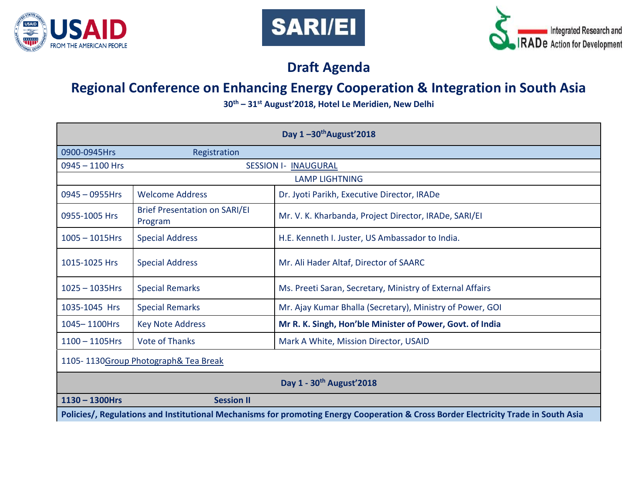





# **Draft Agenda**

# **Regional Conference on Enhancing Energy Cooperation & Integration in South Asia**

**30th – 31st August'2018, Hotel Le Meridien, New Delhi**

|                                                                                                                                     |                                                 | Day $1 - 30$ <sup>th</sup> August'2018                    |
|-------------------------------------------------------------------------------------------------------------------------------------|-------------------------------------------------|-----------------------------------------------------------|
| 0900-0945Hrs                                                                                                                        | Registration                                    |                                                           |
| $0945 - 1100$ Hrs                                                                                                                   |                                                 | <b>SESSION I- INAUGURAL</b>                               |
|                                                                                                                                     |                                                 | <b>LAMP LIGHTNING</b>                                     |
| $0945 - 0955$ Hrs                                                                                                                   | <b>Welcome Address</b>                          | Dr. Jyoti Parikh, Executive Director, IRADe               |
| 0955-1005 Hrs                                                                                                                       | <b>Brief Presentation on SARI/EI</b><br>Program | Mr. V. K. Kharbanda, Project Director, IRADe, SARI/EI     |
| $1005 - 1015$ Hrs                                                                                                                   | <b>Special Address</b>                          | H.E. Kenneth I. Juster, US Ambassador to India.           |
| 1015-1025 Hrs                                                                                                                       | <b>Special Address</b>                          | Mr. Ali Hader Altaf, Director of SAARC                    |
| $1025 - 1035$ Hrs                                                                                                                   | <b>Special Remarks</b>                          | Ms. Preeti Saran, Secretary, Ministry of External Affairs |
| 1035-1045 Hrs                                                                                                                       | <b>Special Remarks</b>                          | Mr. Ajay Kumar Bhalla (Secretary), Ministry of Power, GOI |
| 1045-1100Hrs                                                                                                                        | <b>Key Note Address</b>                         | Mr R. K. Singh, Hon'ble Minister of Power, Govt. of India |
| $1100 - 1105$ Hrs                                                                                                                   | <b>Vote of Thanks</b>                           | Mark A White, Mission Director, USAID                     |
| 1105-1130Group Photograph& Tea Break                                                                                                |                                                 |                                                           |
|                                                                                                                                     |                                                 | Day 1 - 30 <sup>th</sup> August'2018                      |
| $1130 - 1300$ Hrs                                                                                                                   | <b>Session II</b>                               |                                                           |
| Policies/, Regulations and Institutional Mechanisms for promoting Energy Cooperation & Cross Border Electricity Trade in South Asia |                                                 |                                                           |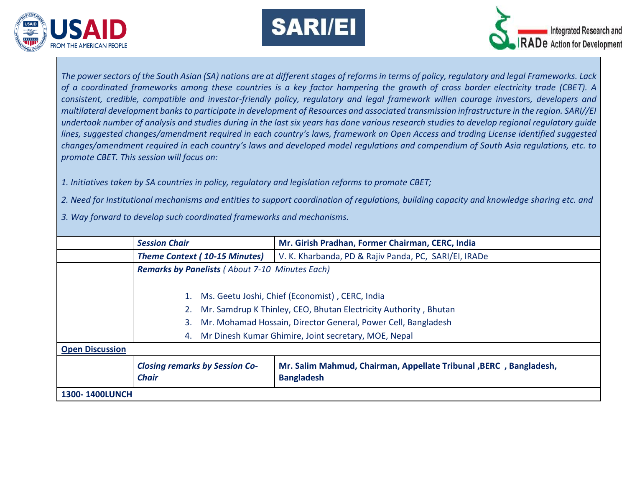





*The power sectors of the South Asian (SA) nations are at different stages of reforms in terms of policy, regulatory and legal Frameworks. Lack of a coordinated frameworks among these countries is a key factor hampering the growth of cross border electricity trade (CBET). A consistent, credible, compatible and investor-friendly policy, regulatory and legal framework willen courage investors, developers and multilateral development banks to participate in development of Resources and associated transmission infrastructure in the region. SARI//EI undertook number of analysis and studies during in the last six years has done various research studies to develop regional regulatory guide*  lines, suggested changes/amendment required in each country's laws, framework on Open Access and trading License identified suggested *changes/amendment required in each country's laws and developed model regulations and compendium of South Asia regulations, etc. to promote CBET. This session will focus on:*

*1. Initiatives taken by SA countries in policy, regulatory and legislation reforms to promote CBET;*

*2. Need for Institutional mechanisms and entities to support coordination of regulations, building capacity and knowledge sharing etc. and* 

*3. Way forward to develop such coordinated frameworks and mechanisms.*

|                        | <b>Session Chair</b>                                       | Mr. Girish Pradhan, Former Chairman, CERC, India                                       |
|------------------------|------------------------------------------------------------|----------------------------------------------------------------------------------------|
|                        | <b>Theme Context (10-15 Minutes)</b>                       | V. K. Kharbanda, PD & Rajiv Panda, PC, SARI/EI, IRADe                                  |
|                        | <b>Remarks by Panelists (About 7-10 Minutes Each)</b>      |                                                                                        |
|                        |                                                            |                                                                                        |
|                        | 1.                                                         | Ms. Geetu Joshi, Chief (Economist), CERC, India                                        |
|                        |                                                            | Mr. Samdrup K Thinley, CEO, Bhutan Electricity Authority, Bhutan                       |
|                        | 3.                                                         | Mr. Mohamad Hossain, Director General, Power Cell, Bangladesh                          |
|                        | Mr Dinesh Kumar Ghimire, Joint secretary, MOE, Nepal<br>4. |                                                                                        |
| <b>Open Discussion</b> |                                                            |                                                                                        |
|                        | <b>Closing remarks by Session Co-</b><br><b>Chair</b>      | Mr. Salim Mahmud, Chairman, Appellate Tribunal, BERC, Bangladesh,<br><b>Bangladesh</b> |
| <b>1300-1400LUNCH</b>  |                                                            |                                                                                        |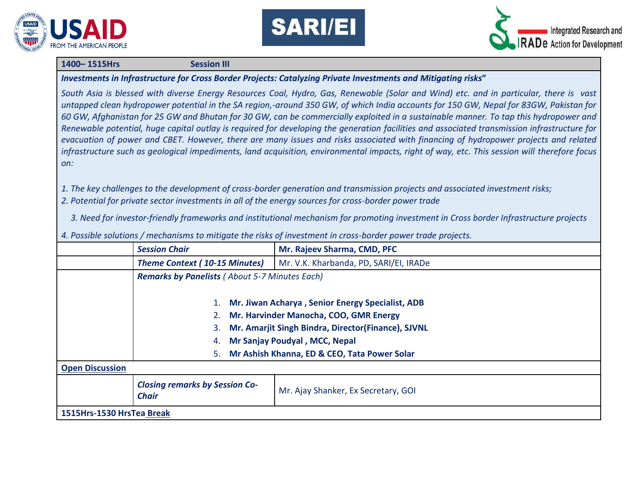





#### **1400– 1515Hrs Session III**

*Investments in Infrastructure for Cross Border Projects: Catalyzing Private Investments and Mitigating risks***"**

*South Asia is blessed with diverse Energy Resources Coal, Hydro, Gas, Renewable (Solar and Wind) etc. and in particular, there is vast untapped clean hydropower potential in the SA region,-around 350 GW, of which India accounts for 150 GW, Nepal for 83GW, Pakistan for 60 GW, Afghanistan for 25 GW and Bhutan for 30 GW, can be commercially exploited in a sustainable manner. To tap this hydropower and Renewable potential, huge capital outlay is required for developing the generation facilities and associated transmission infrastructure for evacuation of power and CBET. However, there are many issues and risks associated with financing of hydropower projects and related infrastructure such as geological impediments, land acquisition, environmental impacts, right of way, etc. This session will therefore focus on:*

- *1. The key challenges to the development of cross-border generation and transmission projects and associated investment risks;*
- *2. Potential for private sector investments in all of the energy sources for cross-border power trade*
	- *3. Need for investor-friendly frameworks and institutional mechanism for promoting investment in Cross border Infrastructure projects*

|                           | <b>Session Chair</b>                                  | Mr. Rajeev Sharma, CMD, PFC                                                                                                                                                                                                              |
|---------------------------|-------------------------------------------------------|------------------------------------------------------------------------------------------------------------------------------------------------------------------------------------------------------------------------------------------|
|                           | <b>Theme Context (10-15 Minutes)</b>                  | Mr. V.K. Kharbanda, PD, SARI/EI, IRADe                                                                                                                                                                                                   |
|                           | <b>Remarks by Panelists (About 5-7 Minutes Each)</b>  |                                                                                                                                                                                                                                          |
|                           | 3.<br>4.<br>5.                                        | Mr. Jiwan Acharya, Senior Energy Specialist, ADB<br>Mr. Harvinder Manocha, COO, GMR Energy<br>Mr. Amarjit Singh Bindra, Director(Finance), SJVNL<br><b>Mr Sanjay Poudyal, MCC, Nepal</b><br>Mr Ashish Khanna, ED & CEO, Tata Power Solar |
| <b>Open Discussion</b>    |                                                       |                                                                                                                                                                                                                                          |
|                           | <b>Closing remarks by Session Co-</b><br><b>Chair</b> | Mr. Ajay Shanker, Ex Secretary, GOI                                                                                                                                                                                                      |
| 1515Hrs-1530 HrsTea Break |                                                       |                                                                                                                                                                                                                                          |

*4. Possible solutions / mechanisms to mitigate the risks of investment in cross-border power trade projects.*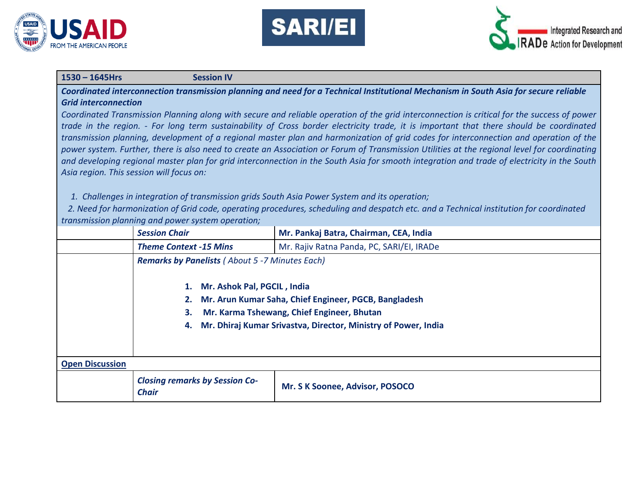





### **1530 – 1645Hrs Session IV**

*Coordinated interconnection transmission planning and need for a Technical Institutional Mechanism in South Asia for secure reliable Grid interconnection*

*Coordinated Transmission Planning along with secure and reliable operation of the grid interconnection is critical for the success of power trade in the region. - For long term sustainability of Cross border electricity trade, it is important that there should be coordinated transmission planning, development of a regional master plan and harmonization of grid codes for interconnection and operation of the power system. Further, there is also need to create an Association or Forum of Transmission Utilities at the regional level for coordinating and developing regional master plan for grid interconnection in the South Asia for smooth integration and trade of electricity in the South Asia region. This session will focus on:*

*1. Challenges in integration of transmission grids South Asia Power System and its operation;*

 *2. Need for harmonization of Grid code, operating procedures, scheduling and despatch etc. and a Technical institution for coordinated transmission planning and power system operation;* 

|                        | <b>Session Chair</b>                                                                                                                                                                                                      | Mr. Pankaj Batra, Chairman, CEA, India    |
|------------------------|---------------------------------------------------------------------------------------------------------------------------------------------------------------------------------------------------------------------------|-------------------------------------------|
|                        | <b>Theme Context -15 Mins</b>                                                                                                                                                                                             | Mr. Rajiv Ratna Panda, PC, SARI/EI, IRADe |
|                        | <b>Remarks by Panelists (About 5 -7 Minutes Each)</b>                                                                                                                                                                     |                                           |
|                        | 1. Mr. Ashok Pal, PGCIL, India<br>Mr. Arun Kumar Saha, Chief Engineer, PGCB, Bangladesh<br>2.<br>Mr. Karma Tshewang, Chief Engineer, Bhutan<br>3.<br>Mr. Dhiraj Kumar Srivastva, Director, Ministry of Power, India<br>4. |                                           |
| <b>Open Discussion</b> |                                                                                                                                                                                                                           |                                           |
|                        | <b>Closing remarks by Session Co-</b><br><b>Chair</b>                                                                                                                                                                     | Mr. S K Soonee, Advisor, POSOCO           |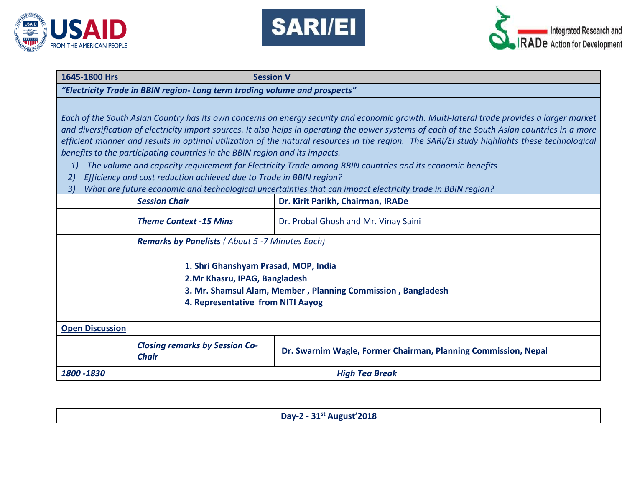





### **1645-1800 Hrs Session V**

#### *"Electricity Trade in BBIN region- Long term trading volume and prospects"*

*Each of the South Asian Country has its own concerns on energy security and economic growth. Multi-lateral trade provides a larger market and diversification of electricity import sources. It also helps in operating the power systems of each of the South Asian countries in a more efficient manner and results in optimal utilization of the natural resources in the region. The SARI/EI study highlights these technological benefits to the participating countries in the BBIN region and its impacts.*

- *1) The volume and capacity requirement for Electricity Trade among BBIN countries and its economic benefits*
- *2) Efficiency and cost reduction achieved due to Trade in BBIN region?*
- *3) What are future economic and technological uncertainties that can impact electricity trade in BBIN region?*

|                        | <b>Session Chair</b>                                                                                                                                                        | Dr. Kirit Parikh, Chairman, IRADe                              |
|------------------------|-----------------------------------------------------------------------------------------------------------------------------------------------------------------------------|----------------------------------------------------------------|
|                        | <b>Theme Context -15 Mins</b>                                                                                                                                               | Dr. Probal Ghosh and Mr. Vinay Saini                           |
|                        | <b>Remarks by Panelists (About 5 -7 Minutes Each)</b>                                                                                                                       |                                                                |
|                        | 1. Shri Ghanshyam Prasad, MOP, India<br>2. Mr Khasru, IPAG, Bangladesh<br>3. Mr. Shamsul Alam, Member, Planning Commission, Bangladesh<br>4. Representative from NITI Aayog |                                                                |
| <b>Open Discussion</b> |                                                                                                                                                                             |                                                                |
|                        | <b>Closing remarks by Session Co-</b><br><b>Chair</b>                                                                                                                       | Dr. Swarnim Wagle, Former Chairman, Planning Commission, Nepal |
| 1800 - 1830            | <b>High Tea Break</b>                                                                                                                                                       |                                                                |

| Day-2 - 31st August'2018 |
|--------------------------|
|                          |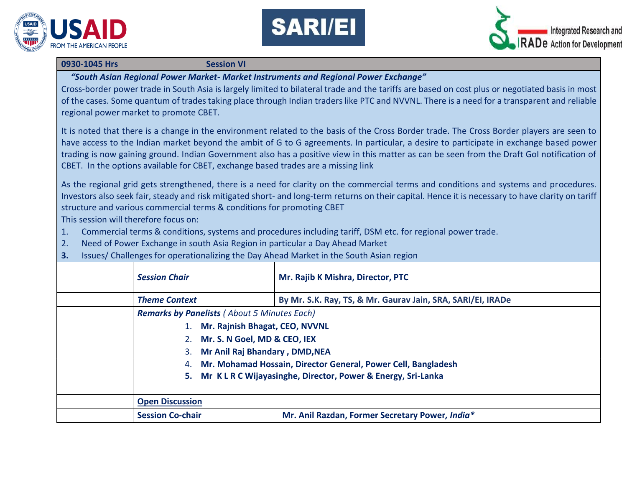





#### **0930-1045 Hrs** Session VI

*"South Asian Regional Power Market- Market Instruments and Regional Power Exchange"*

Cross-border power trade in South Asia is largely limited to bilateral trade and the tariffs are based on cost plus or negotiated basis in most of the cases. Some quantum of trades taking place through Indian traders like PTC and NVVNL. There is a need for a transparent and reliable regional power market to promote CBET.

It is noted that there is a change in the environment related to the basis of the Cross Border trade. The Cross Border players are seen to have access to the Indian market beyond the ambit of G to G agreements. In particular, a desire to participate in exchange based power trading is now gaining ground. Indian Government also has a positive view in this matter as can be seen from the Draft GoI notification of CBET. In the options available for CBET, exchange based trades are a missing link

As the regional grid gets strengthened, there is a need for clarity on the commercial terms and conditions and systems and procedures. Investors also seek fair, steady and risk mitigated short- and long-term returns on their capital. Hence it is necessary to have clarity on tariff structure and various commercial terms & conditions for promoting CBET

This session will therefore focus on:

- 1. Commercial terms & conditions, systems and procedures including tariff, DSM etc. for regional power trade.
- 2. Need of Power Exchange in south Asia Region in particular a Day Ahead Market
- **3.** Issues/ Challenges for operationalizing the Day Ahead Market in the South Asian region

| <b>Session Chair</b>                               | Mr. Rajib K Mishra, Director, PTC                             |
|----------------------------------------------------|---------------------------------------------------------------|
| <b>Theme Context</b>                               | By Mr. S.K. Ray, TS, & Mr. Gaurav Jain, SRA, SARI/EI, IRADe   |
| <b>Remarks by Panelists (About 5 Minutes Each)</b> |                                                               |
| Mr. Rajnish Bhagat, CEO, NVVNL                     |                                                               |
| 2. Mr. S. N Goel, MD & CEO, IEX                    |                                                               |
| Mr Anil Raj Bhandary, DMD, NEA                     |                                                               |
| 4.                                                 | Mr. Mohamad Hossain, Director General, Power Cell, Bangladesh |
| 5.                                                 | Mr KLRC Wijayasinghe, Director, Power & Energy, Sri-Lanka     |
|                                                    |                                                               |
| <b>Open Discussion</b>                             |                                                               |
| <b>Session Co-chair</b>                            | Mr. Anil Razdan, Former Secretary Power, India*               |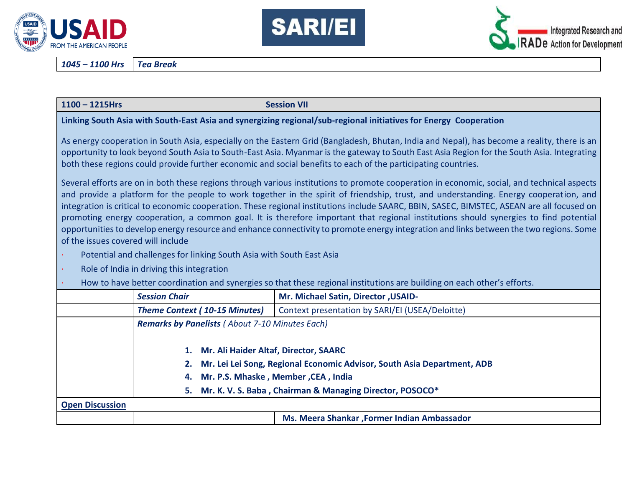





*1045 – 1100 Hrs Tea Break*

|  | $1100 - 1215$ Hrs |
|--|-------------------|
|--|-------------------|

**Session VII** 

## **Linking South Asia with South-East Asia and synergizing regional/sub-regional initiatives for Energy Cooperation**

As energy cooperation in South Asia, especially on the Eastern Grid (Bangladesh, Bhutan, India and Nepal), has become a reality, there is an opportunity to look beyond South Asia to South-East Asia. Myanmar is the gateway to South East Asia Region for the South Asia. Integrating both these regions could provide further economic and social benefits to each of the participating countries.

Several efforts are on in both these regions through various institutions to promote cooperation in economic, social, and technical aspects and provide a platform for the people to work together in the spirit of friendship, trust, and understanding. Energy cooperation, and integration is critical to economic cooperation. These regional institutions include SAARC, BBIN, SASEC, BIMSTEC, ASEAN are all focused on promoting energy cooperation, a common goal. It is therefore important that regional institutions should synergies to find potential opportunities to develop energy resource and enhance connectivity to promote energy integration and links between the two regions. Some of the issues covered will include

Potential and challenges for linking South Asia with South East Asia

Role of India in driving this integration

· How to have better coordination and synergies so that these regional institutions are building on each other's efforts.

|                        | <b>Session Chair</b>                                  | Mr. Michael Satin, Director, USAID-                                     |
|------------------------|-------------------------------------------------------|-------------------------------------------------------------------------|
|                        | <b>Theme Context (10-15 Minutes)</b>                  | Context presentation by SARI/EI (USEA/Deloitte)                         |
|                        | <b>Remarks by Panelists (About 7-10 Minutes Each)</b> |                                                                         |
|                        |                                                       |                                                                         |
|                        | 1. Mr. Ali Haider Altaf, Director, SAARC              |                                                                         |
|                        | 2.                                                    | Mr. Lei Lei Song, Regional Economic Advisor, South Asia Department, ADB |
|                        | 4.                                                    | Mr. P.S. Mhaske, Member, CEA, India                                     |
|                        | 5.                                                    | Mr. K. V. S. Baba, Chairman & Managing Director, POSOCO*                |
| <b>Open Discussion</b> |                                                       |                                                                         |
|                        |                                                       | Ms. Meera Shankar , Former Indian Ambassador                            |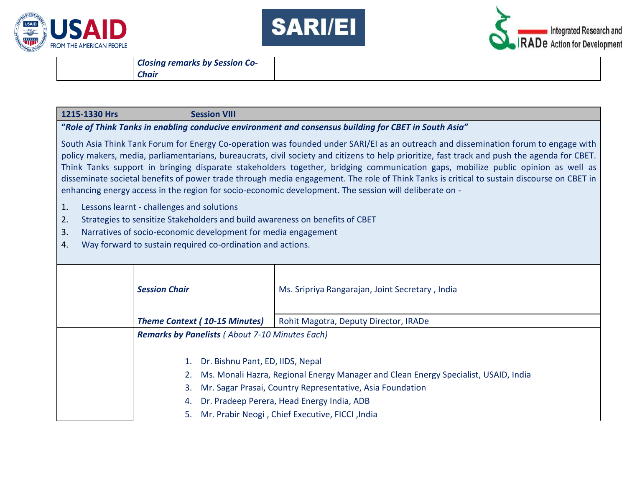





*Closing remarks by Session Co-Chair*

## **1215-1330 Hrs Session VIII**

### **"***Role of Think Tanks in enabling conducive environment and consensus building for CBET in South Asia"*

South Asia Think Tank Forum for Energy Co-operation was founded under SARI/EI as an outreach and dissemination forum to engage with policy makers, media, parliamentarians, bureaucrats, civil society and citizens to help prioritize, fast track and push the agenda for CBET. Think Tanks support in bringing disparate stakeholders together, bridging communication gaps, mobilize public opinion as well as disseminate societal benefits of power trade through media engagement. The role of Think Tanks is critical to sustain discourse on CBET in enhancing energy access in the region for socio-economic development. The session will deliberate on -

- 1. Lessons learnt challenges and solutions
- 2. Strategies to sensitize Stakeholders and build awareness on benefits of CBET
- 3. Narratives of socio-economic development for media engagement
- 4. Way forward to sustain required co-ordination and actions.

| <b>Session Chair</b>                                     | Ms. Sripriya Rangarajan, Joint Secretary, India                                                                                                                                                                                                   |
|----------------------------------------------------------|---------------------------------------------------------------------------------------------------------------------------------------------------------------------------------------------------------------------------------------------------|
| <b>Theme Context (10-15 Minutes)</b>                     | Rohit Magotra, Deputy Director, IRADe                                                                                                                                                                                                             |
| <b>Remarks by Panelists (About 7-10 Minutes Each)</b>    |                                                                                                                                                                                                                                                   |
| Dr. Bishnu Pant, ED, IIDS, Nepal<br>1.<br>3.<br>4.<br>5. | Ms. Monali Hazra, Regional Energy Manager and Clean Energy Specialist, USAID, India<br>Mr. Sagar Prasai, Country Representative, Asia Foundation<br>Dr. Pradeep Perera, Head Energy India, ADB<br>Mr. Prabir Neogi, Chief Executive, FICCI, India |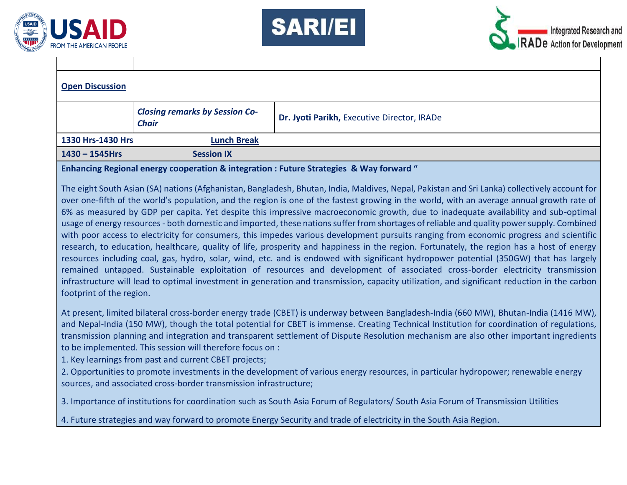





| <b>Open Discussion</b> |                                                       |                                             |
|------------------------|-------------------------------------------------------|---------------------------------------------|
|                        | <b>Closing remarks by Session Co-</b><br><b>Chair</b> | Dr. Jyoti Parikh, Executive Director, IRADe |
| 1330 Hrs-1430 Hrs      | <b>Lunch Break</b>                                    |                                             |
| $1430 - 1545$ Hrs      | <b>Session IX</b>                                     |                                             |
|                        |                                                       |                                             |

**Enhancing Regional energy cooperation & integration : Future Strategies & Way forward "**

The eight South Asian (SA) nations (Afghanistan, Bangladesh, Bhutan, India, Maldives, Nepal, Pakistan and Sri Lanka) collectively account for over one-fifth of the world's population, and the region is one of the fastest growing in the world, with an average annual growth rate of 6% as measured by GDP per capita. Yet despite this impressive macroeconomic growth, due to inadequate availability and sub-optimal usage of energy resources - both domestic and imported, these nations suffer from shortages of reliable and quality power supply. Combined with poor access to electricity for consumers, this impedes various development pursuits ranging from economic progress and scientific research, to education, healthcare, quality of life, prosperity and happiness in the region. Fortunately, the region has a host of energy resources including coal, gas, hydro, solar, wind, etc. and is endowed with significant hydropower potential (350GW) that has largely remained untapped. Sustainable exploitation of resources and development of associated cross-border electricity transmission infrastructure will lead to optimal investment in generation and transmission, capacity utilization, and significant reduction in the carbon footprint of the region.

At present, limited bilateral cross-border energy trade (CBET) is underway between Bangladesh-India (660 MW), Bhutan-India (1416 MW), and Nepal-India (150 MW), though the total potential for CBET is immense. Creating Technical Institution for coordination of regulations, transmission planning and integration and transparent settlement of Dispute Resolution mechanism are also other important ingredients to be implemented. This session will therefore focus on :

1. Key learnings from past and current CBET projects;

2. Opportunities to promote investments in the development of various energy resources, in particular hydropower; renewable energy sources, and associated cross-border transmission infrastructure;

3. Importance of institutions for coordination such as South Asia Forum of Regulators/ South Asia Forum of Transmission Utilities

4. Future strategies and way forward to promote Energy Security and trade of electricity in the South Asia Region.